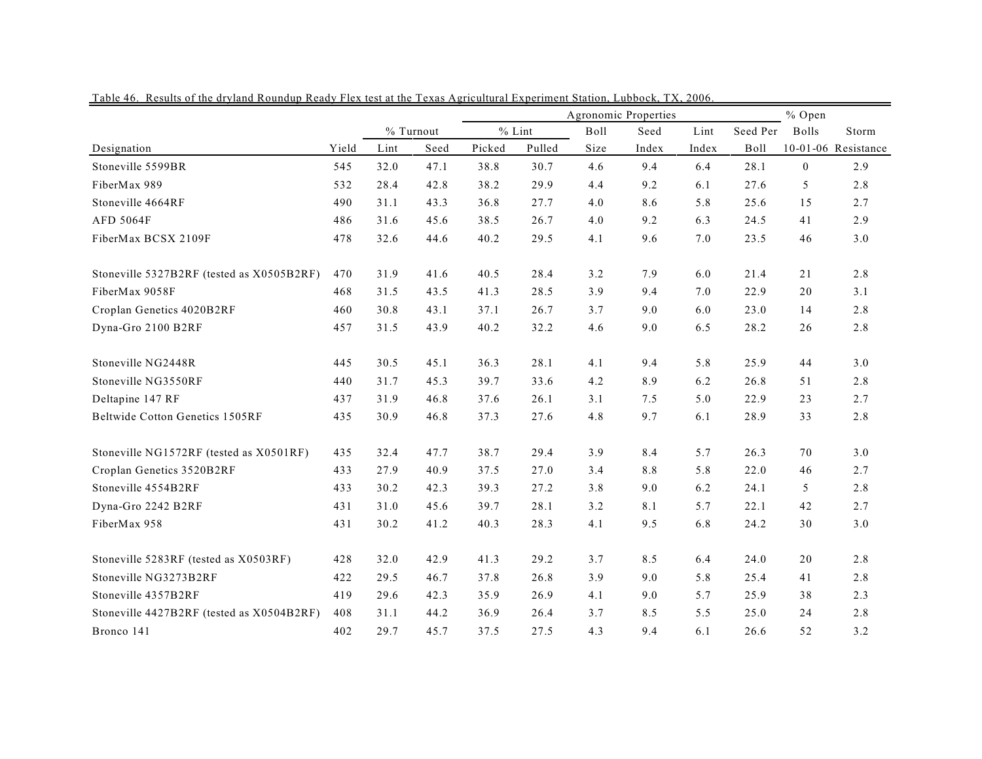|                                           |       |      |           | Agronomic Properties |        |      |         |       |          | % Open       |                     |  |
|-------------------------------------------|-------|------|-----------|----------------------|--------|------|---------|-------|----------|--------------|---------------------|--|
|                                           |       |      | % Turnout | $%$ Lint             |        | Boll | Seed    | Lint  | Seed Per | <b>Bolls</b> | Storm               |  |
| Designation                               | Yield | Lint | Seed      | Picked               | Pulled | Size | Index   | Index | Boll     |              | 10-01-06 Resistance |  |
| Stoneville 5599BR                         | 545   | 32.0 | 47.1      | 38.8                 | 30.7   | 4.6  | 9.4     | 6.4   | 28.1     | $\mathbf{0}$ | 2.9                 |  |
| FiberMax 989                              | 532   | 28.4 | 42.8      | 38.2                 | 29.9   | 4.4  | 9.2     | 6.1   | 27.6     | 5            | 2.8                 |  |
| Stoneville 4664RF                         | 490   | 31.1 | 43.3      | 36.8                 | 27.7   | 4.0  | 8.6     | 5.8   | 25.6     | 15           | 2.7                 |  |
| AFD 5064F                                 | 486   | 31.6 | 45.6      | 38.5                 | 26.7   | 4.0  | 9.2     | 6.3   | 24.5     | 41           | 2.9                 |  |
| FiberMax BCSX 2109F                       | 478   | 32.6 | 44.6      | 40.2                 | 29.5   | 4.1  | 9.6     | 7.0   | 23.5     | 46           | 3.0                 |  |
| Stoneville 5327B2RF (tested as X0505B2RF) | 470   | 31.9 | 41.6      | 40.5                 | 28.4   | 3.2  | 7.9     | 6.0   | 21.4     | 21           | 2.8                 |  |
| FiberMax 9058F                            | 468   | 31.5 | 43.5      | 41.3                 | 28.5   | 3.9  | 9.4     | 7.0   | 22.9     | 20           | 3.1                 |  |
| Croplan Genetics 4020B2RF                 | 460   | 30.8 | 43.1      | 37.1                 | 26.7   | 3.7  | 9.0     | 6.0   | 23.0     | 14           | 2.8                 |  |
| Dyna-Gro 2100 B2RF                        | 457   | 31.5 | 43.9      | 40.2                 | 32.2   | 4.6  | 9.0     | 6.5   | 28.2     | 26           | 2.8                 |  |
| Stoneville NG2448R                        | 445   | 30.5 | 45.1      | 36.3                 | 28.1   | 4.1  | 9.4     | 5.8   | 25.9     | 44           | 3.0                 |  |
| Stoneville NG3550RF                       | 440   | 31.7 | 45.3      | 39.7                 | 33.6   | 4.2  | 8.9     | 6.2   | 26.8     | 51           | 2.8                 |  |
| Deltapine 147 RF                          | 437   | 31.9 | 46.8      | 37.6                 | 26.1   | 3.1  | 7.5     | 5.0   | 22.9     | 23           | 2.7                 |  |
| Beltwide Cotton Genetics 1505RF           | 435   | 30.9 | 46.8      | 37.3                 | 27.6   | 4.8  | 9.7     | 6.1   | 28.9     | 33           | 2.8                 |  |
| Stoneville NG1572RF (tested as X0501RF)   | 435   | 32.4 | 47.7      | 38.7                 | 29.4   | 3.9  | 8.4     | 5.7   | 26.3     | 70           | 3.0                 |  |
| Croplan Genetics 3520B2RF                 | 433   | 27.9 | 40.9      | 37.5                 | 27.0   | 3.4  | $8.8\,$ | 5.8   | 22.0     | 46           | 2.7                 |  |
| Stoneville 4554B2RF                       | 433   | 30.2 | 42.3      | 39.3                 | 27.2   | 3.8  | 9.0     | 6.2   | 24.1     | 5            | 2.8                 |  |
| Dyna-Gro 2242 B2RF                        | 431   | 31.0 | 45.6      | 39.7                 | 28.1   | 3.2  | 8.1     | 5.7   | 22.1     | 42           | 2.7                 |  |
| FiberMax 958                              | 431   | 30.2 | 41.2      | 40.3                 | 28.3   | 4.1  | 9.5     | 6.8   | 24.2     | 30           | 3.0                 |  |
| Stoneville 5283RF (tested as X0503RF)     | 428   | 32.0 | 42.9      | 41.3                 | 29.2   | 3.7  | 8.5     | 6.4   | 24.0     | 20           | 2.8                 |  |
| Stoneville NG3273B2RF                     | 422   | 29.5 | 46.7      | 37.8                 | 26.8   | 3.9  | 9.0     | 5.8   | 25.4     | 41           | 2.8                 |  |
| Stoneville 4357B2RF                       | 419   | 29.6 | 42.3      | 35.9                 | 26.9   | 4.1  | 9.0     | 5.7   | 25.9     | 38           | 2.3                 |  |
| Stoneville 4427B2RF (tested as X0504B2RF) | 408   | 31.1 | 44.2      | 36.9                 | 26.4   | 3.7  | 8.5     | 5.5   | 25.0     | 24           | 2.8                 |  |
| Bronco 141                                | 402   | 29.7 | 45.7      | 37.5                 | 27.5   | 4.3  | 9.4     | 6.1   | 26.6     | 52           | 3.2                 |  |

Table 46. Results of the dryland Roundup Ready Flex test at the Texas Agricultural Experiment Station, Lubbock, TX, 2006.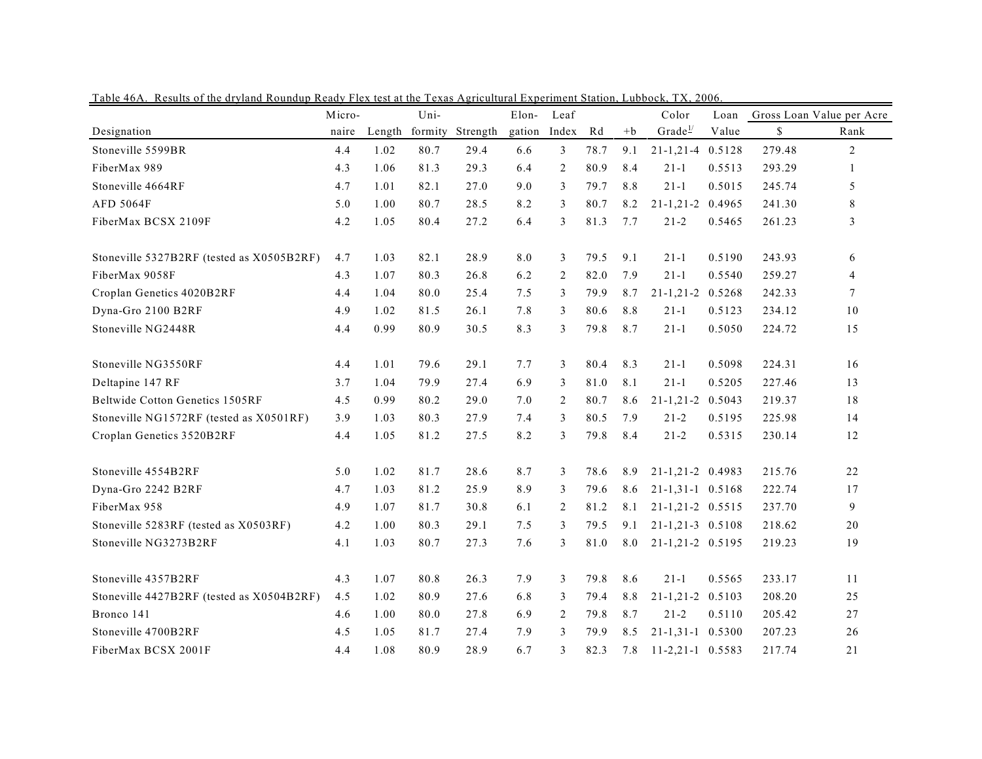| <u>Table 40A. Results of the dividity Roundup Ready Flex test at the Texas Agricultural Experiment Station, Lubbock, TA, 2000</u> | Micro- |        | Uni-    |          | Elon-  | Leaf  |      |      | Color                   | Loan   |        | Gross Loan Value per Acre |
|-----------------------------------------------------------------------------------------------------------------------------------|--------|--------|---------|----------|--------|-------|------|------|-------------------------|--------|--------|---------------------------|
| Designation                                                                                                                       | naire  | Length | formity | Strength | gation | Index | Rd   | $+b$ | Grade $\frac{1}{2}$     | Value  | \$     | Rank                      |
| Stoneville 5599BR                                                                                                                 | 4.4    | 1.02   | 80.7    | 29.4     | 6.6    | 3     | 78.7 | 9.1  | 21-1,21-4 0.5128        |        | 279.48 | $\overline{2}$            |
| FiberMax 989                                                                                                                      | 4.3    | 1.06   | 81.3    | 29.3     | 6.4    | 2     | 80.9 | 8.4  | $21 - 1$                | 0.5513 | 293.29 | 1                         |
| Stoneville 4664RF                                                                                                                 | 4.7    | 1.01   | 82.1    | 27.0     | 9.0    | 3     | 79.7 | 8.8  | $21 - 1$                | 0.5015 | 245.74 | 5                         |
| <b>AFD 5064F</b>                                                                                                                  | 5.0    | 1.00   | 80.7    | 28.5     | 8.2    | 3     | 80.7 | 8.2  | 21-1,21-2 0.4965        |        | 241.30 | 8                         |
| FiberMax BCSX 2109F                                                                                                               | 4.2    | 1.05   | 80.4    | 27.2     | 6.4    | 3     | 81.3 | 7.7  | $21 - 2$                | 0.5465 | 261.23 | 3                         |
| Stoneville 5327B2RF (tested as X0505B2RF)                                                                                         | 4.7    | 1.03   | 82.1    | 28.9     | 8.0    | 3     | 79.5 | 9.1  | $21 - 1$                | 0.5190 | 243.93 | 6                         |
| FiberMax 9058F                                                                                                                    | 4.3    | 1.07   | 80.3    | 26.8     | 6.2    | 2     | 82.0 | 7.9  | $21 - 1$                | 0.5540 | 259.27 | $\overline{4}$            |
| Croplan Genetics 4020B2RF                                                                                                         | 4.4    | 1.04   | 80.0    | 25.4     | 7.5    | 3     | 79.9 | 8.7  | 21-1,21-2 0.5268        |        | 242.33 | 7                         |
| Dyna-Gro 2100 B2RF                                                                                                                | 4.9    | 1.02   | 81.5    | 26.1     | 7.8    | 3     | 80.6 | 8.8  | $21 - 1$                | 0.5123 | 234.12 | 10                        |
| Stoneville NG2448R                                                                                                                | 4.4    | 0.99   | 80.9    | 30.5     | 8.3    | 3     | 79.8 | 8.7  | $21 - 1$                | 0.5050 | 224.72 | 15                        |
| Stoneville NG3550RF                                                                                                               | 4.4    | 1.01   | 79.6    | 29.1     | 7.7    | 3     | 80.4 | 8.3  | $21-1$                  | 0.5098 | 224.31 | 16                        |
| Deltapine 147 RF                                                                                                                  | 3.7    | 1.04   | 79.9    | 27.4     | 6.9    | 3     | 81.0 | 8.1  | $21 - 1$                | 0.5205 | 227.46 | 13                        |
| Beltwide Cotton Genetics 1505RF                                                                                                   | 4.5    | 0.99   | 80.2    | 29.0     | 7.0    | 2     | 80.7 | 8.6  | $21 - 1, 21 - 2$        | 0.5043 | 219.37 | 18                        |
| Stoneville NG1572RF (tested as X0501RF)                                                                                           | 3.9    | 1.03   | 80.3    | 27.9     | 7.4    | 3     | 80.5 | 7.9  | $21 - 2$                | 0.5195 | 225.98 | 14                        |
| Croplan Genetics 3520B2RF                                                                                                         | 4.4    | 1.05   | 81.2    | 27.5     | 8.2    | 3     | 79.8 | 8.4  | $21 - 2$                | 0.5315 | 230.14 | 12                        |
| Stoneville 4554B2RF                                                                                                               | 5.0    | 1.02   | 81.7    | 28.6     | 8.7    | 3     | 78.6 | 8.9  | 21-1,21-2 0.4983        |        | 215.76 | 22                        |
| Dyna-Gro 2242 B2RF                                                                                                                | 4.7    | 1.03   | 81.2    | 25.9     | 8.9    | 3     | 79.6 | 8.6  | 21-1,31-1 0.5168        |        | 222.74 | 17                        |
| FiberMax 958                                                                                                                      | 4.9    | 1.07   | 81.7    | 30.8     | 6.1    | 2     | 81.2 | 8.1  | 21-1,21-2 0.5515        |        | 237.70 | 9                         |
| Stoneville 5283RF (tested as X0503RF)                                                                                             | 4.2    | 1.00   | 80.3    | 29.1     | 7.5    | 3     | 79.5 | 9.1  | 21-1,21-3 0.5108        |        | 218.62 | 20                        |
| Stoneville NG3273B2RF                                                                                                             | 4.1    | 1.03   | 80.7    | 27.3     | 7.6    | 3     | 81.0 | 8.0  | 21-1,21-2 0.5195        |        | 219.23 | 19                        |
| Stoneville 4357B2RF                                                                                                               | 4.3    | 1.07   | 80.8    | 26.3     | 7.9    | 3     | 79.8 | 8.6  | $21-1$                  | 0.5565 | 233.17 | 11                        |
| Stoneville 4427B2RF (tested as X0504B2RF)                                                                                         | 4.5    | 1.02   | 80.9    | 27.6     | 6.8    | 3     | 79.4 | 8.8  | $21 - 1, 21 - 2$ 0.5103 |        | 208.20 | 25                        |
| Bronco 141                                                                                                                        | 4.6    | 1.00   | 80.0    | 27.8     | 6.9    | 2     | 79.8 | 8.7  | $21 - 2$                | 0.5110 | 205.42 | 27                        |
| Stoneville 4700B2RF                                                                                                               | 4.5    | 1.05   | 81.7    | 27.4     | 7.9    | 3     | 79.9 | 8.5  | $21-1,31-1$ 0.5300      |        | 207.23 | 26                        |
| FiberMax BCSX 2001F                                                                                                               | 4.4    | 1.08   | 80.9    | 28.9     | 6.7    | 3     | 82.3 | 7.8  | $11-2,21-1$ 0.5583      |        | 217.74 | 21                        |

Table 46A. Results of the dryland Roundup Ready Flex test at the Texas Agricultural Experiment Station, Lubbock, TX, 2006.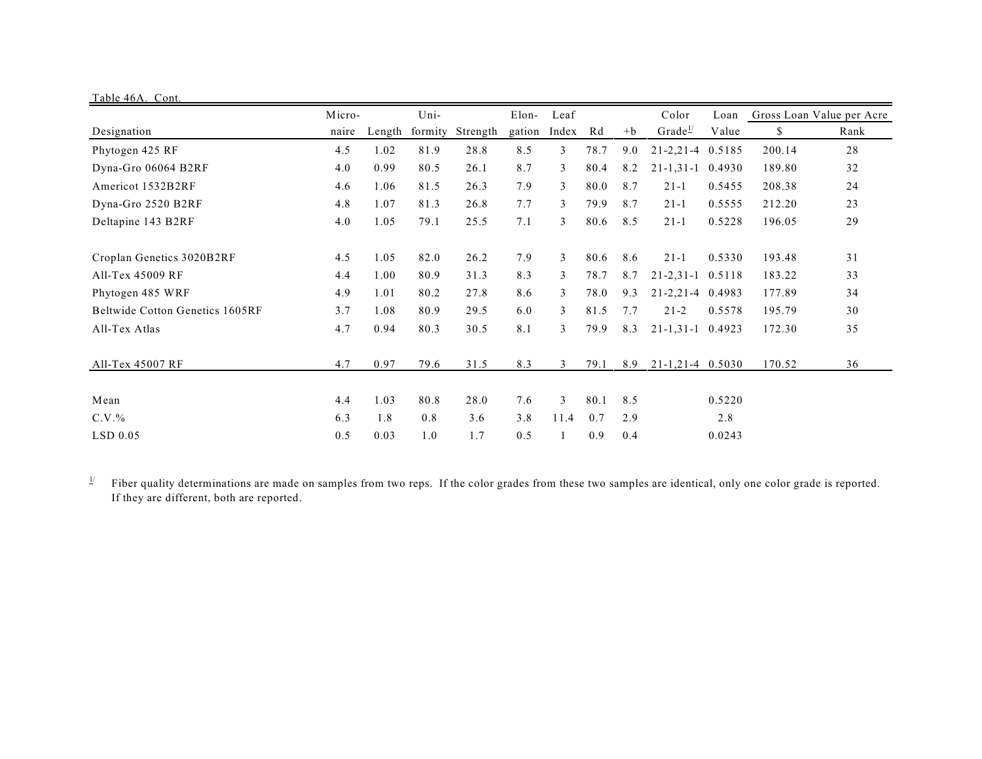| Table 46A. Cont.                |        |        |         |          |        |                |      |      |                     |        |        |                           |
|---------------------------------|--------|--------|---------|----------|--------|----------------|------|------|---------------------|--------|--------|---------------------------|
|                                 | Micro- |        | Uni-    |          | Elon-  | Leaf           |      |      | Color               | Loan   |        | Gross Loan Value per Acre |
| Designation                     | naire  | Length | formity | Strength | gation | Index          | Rd   | $+b$ | Grade <sup>1/</sup> | Value  | \$     | Rank                      |
| Phytogen 425 RF                 | 4.5    | 1.02   | 81.9    | 28.8     | 8.5    | 3              | 78.7 | 9.0  | $21 - 2, 21 - 4$    | 0.5185 | 200.14 | 28                        |
| Dyna-Gro 06064 B2RF             | 4.0    | 0.99   | 80.5    | 26.1     | 8.7    | 3              | 80.4 | 8.2  | $21 - 1, 31 - 1$    | 0.4930 | 189.80 | 32                        |
| Americot 1532B2RF               | 4.6    | 1.06   | 81.5    | 26.3     | 7.9    | 3              | 80.0 | 8.7  | $21-1$              | 0.5455 | 208.38 | 24                        |
| Dyna-Gro 2520 B2RF              | 4.8    | 1.07   | 81.3    | 26.8     | 7.7    | 3              | 79.9 | 8.7  | $21-1$              | 0.5555 | 212.20 | 23                        |
| Deltapine 143 B2RF              | 4.0    | 1.05   | 79.1    | 25.5     | 7.1    | 3              | 80.6 | 8.5  | $21-1$              | 0.5228 | 196.05 | 29                        |
| Croplan Genetics 3020B2RF       | 4.5    | 1.05   | 82.0    | 26.2     | 7.9    | 3              | 80.6 | 8.6  | $21-1$              | 0.5330 | 193.48 | 31                        |
| All-Tex 45009 RF                | 4.4    | 1.00   | 80.9    | 31.3     | 8.3    | 3              | 78.7 | 8.7  | $21 - 2, 31 - 1$    | 0.5118 | 183.22 | 33                        |
| Phytogen 485 WRF                | 4.9    | 1.01   | 80.2    | 27.8     | 8.6    | 3              | 78.0 | 9.3  | 21-2,21-4 0.4983    |        | 177.89 | 34                        |
| Beltwide Cotton Genetics 1605RF | 3.7    | 1.08   | 80.9    | 29.5     | 6.0    | $\mathfrak{Z}$ | 81.5 | 7.7  | $21 - 2$            | 0.5578 | 195.79 | 30                        |
| All-Tex Atlas                   | 4.7    | 0.94   | 80.3    | 30.5     | 8.1    | 3              | 79.9 | 8.3  | $21 - 1, 31 - 1$    | 0.4923 | 172.30 | 35                        |
| All-Tex 45007 RF                | 4.7    | 0.97   | 79.6    | 31.5     | 8.3    | 3              | 79.1 | 8.9  | $21-1, 21-4$ 0.5030 |        | 170.52 | 36                        |
| Mean                            | 4.4    | 1.03   | 80.8    | 28.0     | 7.6    | 3              | 80.1 | 8.5  |                     | 0.5220 |        |                           |
| C.V.%                           | 6.3    | 1.8    | 0.8     | 3.6      | 3.8    | 11.4           | 0.7  | 2.9  |                     | 2.8    |        |                           |
| $LSD$ 0.05                      | 0.5    | 0.03   | 1.0     | 1.7      | 0.5    |                | 0.9  | 0.4  |                     | 0.0243 |        |                           |

 $\frac{1}{2}$  Fiber quality determinations are made on samples from two reps. If the color grades from these two samples are identical, only one color grade is reported. If they are different, both are reported.